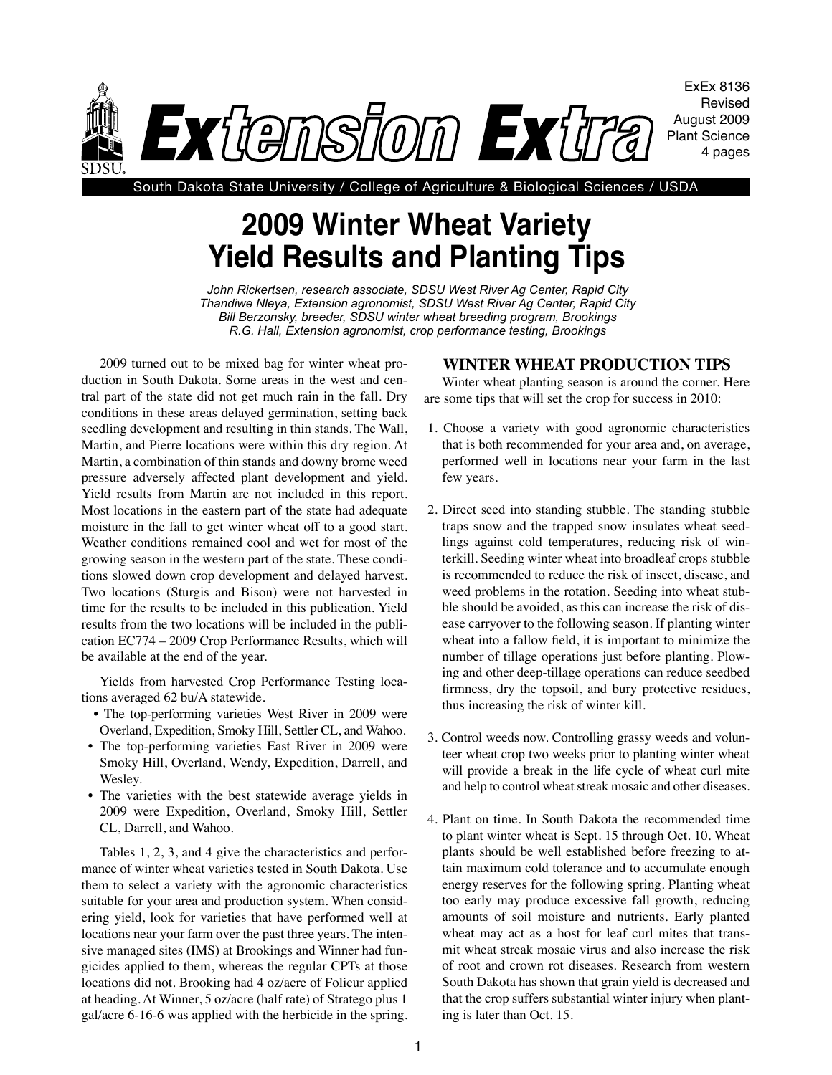

South Dakota State University / College of Agriculture & Biological Sciences / USDA

## **2009 Winter Wheat Variety Yield Results and Planting Tips**

*John Rickertsen, research associate, SDSU West River Ag Center, Rapid City Thandiwe Nleya, Extension agronomist, SDSU West River Ag Center, Rapid City Bill Berzonsky, breeder, SDSU winter wheat breeding program, Brookings R.G. Hall, Extension agronomist, crop performance testing, Brookings*

2009 turned out to be mixed bag for winter wheat production in South Dakota. Some areas in the west and central part of the state did not get much rain in the fall. Dry conditions in these areas delayed germination, setting back seedling development and resulting in thin stands. The Wall, Martin, and Pierre locations were within this dry region. At Martin, a combination of thin stands and downy brome weed pressure adversely affected plant development and yield. Yield results from Martin are not included in this report. Most locations in the eastern part of the state had adequate moisture in the fall to get winter wheat off to a good start. Weather conditions remained cool and wet for most of the growing season in the western part of the state. These conditions slowed down crop development and delayed harvest. Two locations (Sturgis and Bison) were not harvested in time for the results to be included in this publication. Yield results from the two locations will be included in the publication EC774 – 2009 Crop Performance Results, which will be available at the end of the year.

Yields from harvested Crop Performance Testing locations averaged 62 bu/A statewide.

- The top-performing varieties West River in 2009 were Overland, Expedition, Smoky Hill, Settler CL, and Wahoo.
- The top-performing varieties East River in 2009 were Smoky Hill, Overland, Wendy, Expedition, Darrell, and Wesley.
- The varieties with the best statewide average yields in 2009 were Expedition, Overland, Smoky Hill, Settler CL, Darrell, and Wahoo.

Tables 1, 2, 3, and 4 give the characteristics and performance of winter wheat varieties tested in South Dakota. Use them to select a variety with the agronomic characteristics suitable for your area and production system. When considering yield, look for varieties that have performed well at locations near your farm over the past three years. The intensive managed sites (IMS) at Brookings and Winner had fungicides applied to them, whereas the regular CPTs at those locations did not. Brooking had 4 oz/acre of Folicur applied at heading. At Winner, 5 oz/acre (half rate) of Stratego plus 1 gal/acre 6-16-6 was applied with the herbicide in the spring.

## **Winter Wheat Production Tips**

Winter wheat planting season is around the corner. Here are some tips that will set the crop for success in 2010:

- 1. Choose a variety with good agronomic characteristics that is both recommended for your area and, on average, performed well in locations near your farm in the last few years.
- 2. Direct seed into standing stubble. The standing stubble traps snow and the trapped snow insulates wheat seedlings against cold temperatures, reducing risk of winterkill. Seeding winter wheat into broadleaf crops stubble is recommended to reduce the risk of insect, disease, and weed problems in the rotation. Seeding into wheat stubble should be avoided, as this can increase the risk of disease carryover to the following season. If planting winter wheat into a fallow field, it is important to minimize the number of tillage operations just before planting. Plowing and other deep-tillage operations can reduce seedbed firmness, dry the topsoil, and bury protective residues, thus increasing the risk of winter kill.
- 3. Control weeds now. Controlling grassy weeds and volunteer wheat crop two weeks prior to planting winter wheat will provide a break in the life cycle of wheat curl mite and help to control wheat streak mosaic and other diseases.
- 4. Plant on time. In South Dakota the recommended time to plant winter wheat is Sept. 15 through Oct. 10. Wheat plants should be well established before freezing to attain maximum cold tolerance and to accumulate enough energy reserves for the following spring. Planting wheat too early may produce excessive fall growth, reducing amounts of soil moisture and nutrients. Early planted wheat may act as a host for leaf curl mites that transmit wheat streak mosaic virus and also increase the risk of root and crown rot diseases. Research from western South Dakota has shown that grain yield is decreased and that the crop suffers substantial winter injury when planting is later than Oct. 15.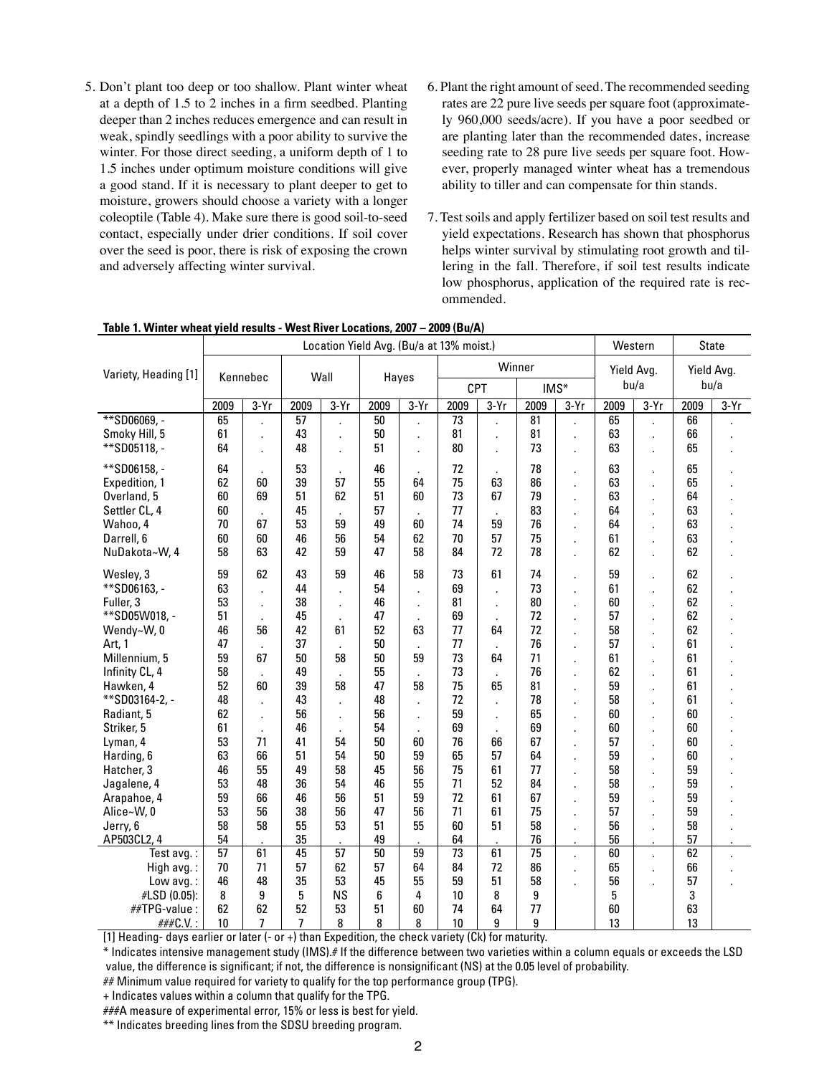- 5. Don't plant too deep or too shallow. Plant winter wheat at a depth of 1.5 to 2 inches in a firm seedbed. Planting deeper than 2 inches reduces emergence and can result in weak, spindly seedlings with a poor ability to survive the winter. For those direct seeding, a uniform depth of 1 to 1.5 inches under optimum moisture conditions will give a good stand. If it is necessary to plant deeper to get to moisture, growers should choose a variety with a longer coleoptile (Table 4). Make sure there is good soil-to-seed contact, especially under drier conditions. If soil cover over the seed is poor, there is risk of exposing the crown and adversely affecting winter survival.
- 6. Plant the right amount of seed. The recommended seeding rates are 22 pure live seeds per square foot (approximately 960,000 seeds/acre). If you have a poor seedbed or are planting later than the recommended dates, increase seeding rate to 28 pure live seeds per square foot. However, properly managed winter wheat has a tremendous ability to tiller and can compensate for thin stands.
- 7. Test soils and apply fertilizer based on soil test results and yield expectations. Research has shown that phosphorus helps winter survival by stimulating root growth and tillering in the fall. Therefore, if soil test results indicate low phosphorus, application of the required rate is recommended.

|                      | Location Yield Avg. (Bu/a at 13% moist.) |                |                 |                          |       |              |        |                |                 |                      |            | Western |            | <b>State</b> |  |
|----------------------|------------------------------------------|----------------|-----------------|--------------------------|-------|--------------|--------|----------------|-----------------|----------------------|------------|---------|------------|--------------|--|
| Variety, Heading [1] | Kennebec                                 |                | Wall            |                          | Hayes |              | Winner |                |                 |                      | Yield Avg. |         | Yield Avg. |              |  |
|                      |                                          |                |                 |                          |       |              | CPT    |                | $IMS*$          |                      | bu/a       |         | bu/a       |              |  |
|                      | 2009                                     | $3-Yr$         | 2009            | $3-Yr$                   | 2009  | $3-Yr$       | 2009   | $3-Yr$         | 2009            | $3-Yr$               | 2009       | $3-Yr$  | 2009       | $3-Yr$       |  |
| **SD06069, -         | 65                                       |                | $\overline{57}$ |                          | 50    |              | 73     |                | 81              |                      | 65         |         | 66         |              |  |
| Smoky Hill, 5        | 61                                       |                | 43              |                          | 50    |              | 81     |                | 81              | ÷.                   | 63         |         | 66         |              |  |
| **SD05118, -         | 64                                       | ÷.             | 48              | $\cdot$                  | 51    | $\mathbf{r}$ | 80     |                | 73              | $\mathbf{r}$         | 63         |         | 65         |              |  |
| **SD06158, -         | 64                                       |                | 53              |                          | 46    |              | 72     |                | 78              | Ĭ.                   | 63         |         | 65         |              |  |
| Expedition, 1        | 62                                       | 60             | 39              | 57                       | 55    | 64           | 75     | 63             | 86              |                      | 63         |         | 65         |              |  |
| Overland, 5          | 60                                       | 69             | 51              | 62                       | 51    | 60           | 73     | 67             | 79              | ×,                   | 63         |         | 64         |              |  |
| Settler CL, 4        | 60                                       |                | 45              |                          | 57    |              | 77     |                | 83              | ÷.                   | 64         |         | 63         |              |  |
| Wahoo, 4             | 70                                       | 67             | 53              | 59                       | 49    | 60           | 74     | 59             | 76              |                      | 64         |         | 63         |              |  |
| Darrell, 6           | 60                                       | 60             | 46              | 56                       | 54    | 62           | 70     | 57             | 75              | ä,                   | 61         |         | 63         |              |  |
| NuDakota~W, 4        | 58                                       | 63             | 42              | 59                       | 47    | 58           | 84     | 72             | 78              | Ĭ.                   | 62         |         | 62         |              |  |
| Wesley, 3            | 59                                       | 62             | 43              | 59                       | 46    | 58           | 73     | 61             | 74              |                      | 59         |         | 62         |              |  |
| **SD06163, -         | 63                                       |                | 44              |                          | 54    |              | 69     | $\overline{a}$ | 73              | Ĭ.                   | 61         |         | 62         |              |  |
| Fuller, 3            | 53                                       | $\overline{a}$ | 38              | $\overline{\phantom{a}}$ | 46    | $\cdot$      | 81     | ÷.             | 80              | ÷,                   | 60         |         | 62         |              |  |
| **SD05W018, -        | 51                                       |                | 45              |                          | 47    |              | 69     |                | 72              | ÷,                   | 57         |         | 62         |              |  |
| Wendy~W, 0           | 46                                       | 56             | 42              | 61                       | 52    | 63           | 77     | 64             | 72              | ÷,                   | 58         |         | 62         |              |  |
| Art, 1               | 47                                       |                | 37              |                          | 50    |              | 77     |                | 76              |                      | 57         |         | 61         |              |  |
| Millennium, 5        | 59                                       | 67             | 50              | 58                       | 50    | 59           | 73     | 64             | 71              | ÷.                   | 61         |         | 61         |              |  |
| Infinity CL, 4       | 58                                       |                | 49              |                          | 55    |              | 73     |                | 76              | $\epsilon$           | 62         |         | 61         |              |  |
| Hawken, 4            | 52                                       | 60             | 39              | 58                       | 47    | 58           | 75     | 65             | 81              |                      | 59         |         | 61         |              |  |
| **SD03164-2, -       | 48                                       |                | 43              |                          | 48    | $\mathbf{r}$ | 72     | $\overline{a}$ | 78              | Ĭ.                   | 58         |         | 61         |              |  |
| Radiant, 5           | 62                                       | $\mathbf{r}$   | 56              | $\cdot$                  | 56    | ٠            | 59     | ä,             | 65              | ä,                   | 60         |         | 60         |              |  |
| Striker, 5           | 61                                       | ×,             | 46              |                          | 54    |              | 69     |                | 69              | ×,                   | 60         |         | 60         |              |  |
| Lyman, 4             | 53                                       | 71             | 41              | 54                       | 50    | 60           | 76     | 66             | 67              | Ĭ.                   | 57         |         | 60         |              |  |
| Harding, 6           | 63                                       | 66             | 51              | 54                       | 50    | 59           | 65     | 57             | 64              | ä,                   | 59         |         | 60         |              |  |
| Hatcher, 3           | 46                                       | 55             | 49              | 58                       | 45    | 56           | 75     | 61             | 77              | Ĭ.                   | 58         |         | 59         |              |  |
| Jagalene, 4          | 53                                       | 48             | 36              | 54                       | 46    | 55           | 71     | 52             | 84              |                      | 58         |         | 59         |              |  |
| Arapahoe, 4          | 59                                       | 66             | 46              | 56                       | 51    | 59           | 72     | 61             | 67              |                      | 59         |         | 59         |              |  |
| Alice~W, 0           | 53                                       | 56             | 38              | 56                       | 47    | 56           | 71     | 61             | 75              | ä,                   | 57         |         | 59         |              |  |
| Jerry, 6             | 58                                       | 58             | 55              | 53                       | 51    | 55           | 60     | 51             | 58              |                      | 56         |         | 58         |              |  |
| AP503CL2, 4          | 54                                       |                | 35              |                          | 49    |              | 64     |                | 76              |                      | 56         | ä,      | 57         |              |  |
| Test avg. :          | 57                                       | 61             | 45              | 57                       | 50    | 59           | 73     | 61             | $\overline{75}$ | $\ddot{\phantom{a}}$ | 60         | ÷.      | 62         |              |  |
| High avg.:           | 70                                       | 71             | 57              | 62                       | 57    | 64           | 84     | 72             | 86              |                      | 65         |         | 66         |              |  |
| Low avg.:            | 46                                       | 48             | 35              | 53                       | 45    | 55           | 59     | 51             | 58              |                      | 56         |         | 57         |              |  |
| #LSD (0.05):         | 8                                        | 9              | 5               | <b>NS</b>                | 6     | 4            | 10     | 8              | 9               |                      | 5          |         | 3          |              |  |
| ##TPG-value:         | 62                                       | 62             | 52              | 53                       | 51    | 60           | 74     | 64             | 77              |                      | 60         |         | 63         |              |  |
| ###C.V.:             | 10                                       | $\overline{7}$ | 7               | 8                        | 8     | 8            | 10     | 9              | 9               |                      | 13         |         | 13         |              |  |

|  |  |  | Table 1. Winter wheat yield results - West River Locations, 2007 - 2009 (Bu/A) |
|--|--|--|--------------------------------------------------------------------------------|
|--|--|--|--------------------------------------------------------------------------------|

[1] Heading- days earlier or later (- or +) than Expedition, the check variety (Ck) for maturity.

\* Indicates intensive management study (IMS).# If the difference between two varieties within a column equals or exceeds the LSD value, the difference is significant; if not, the difference is nonsignificant (NS) at the 0.05 level of probability.

## Minimum value required for variety to qualify for the top performance group (TPG).

###A measure of experimental error, 15% or less is best for yield.

\*\* Indicates breeding lines from the SDSU breeding program.

<sup>+</sup> Indicates values within a column that qualify for the TPG.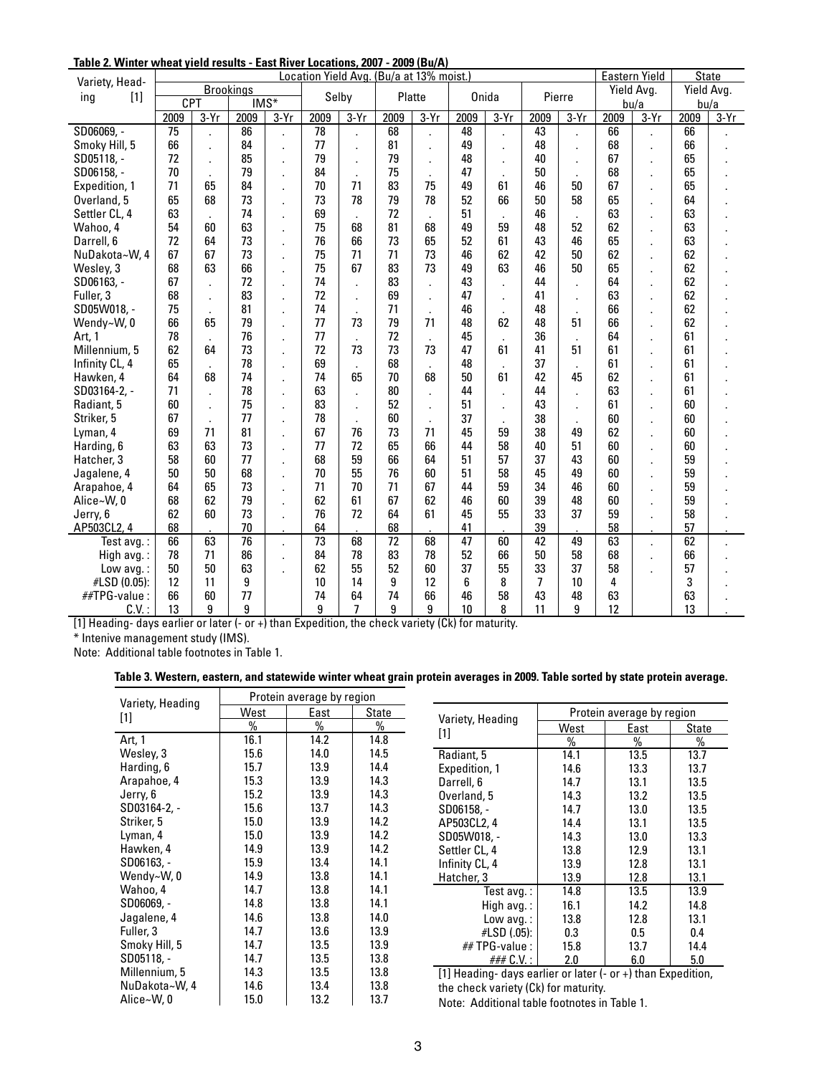| Variety, Head- | Location Yield Avg. (Bu/a at 13% moist.) |                |                          |        |      |            |      |                |      |        |      |              | <b>Eastern Yield</b> |                      | <b>State</b> |        |
|----------------|------------------------------------------|----------------|--------------------------|--------|------|------------|------|----------------|------|--------|------|--------------|----------------------|----------------------|--------------|--------|
| $[1]$          | <b>Brookings</b>                         |                |                          | Selby  |      | Platte     |      | Onida          |      | Pierre |      | Yield Avg.   |                      | Yield Avg.           |              |        |
| ing            | <b>CPT</b>                               |                | $\overline{\text{IMS*}}$ |        |      |            |      |                |      |        |      |              |                      | bu/a                 | bu/a         |        |
|                | 2009                                     | $3-Yr$         | 2009                     | $3-Yr$ | 2009 | $3-Yr$     | 2009 | $3-Yr$         | 2009 | $3-Yr$ | 2009 | $3-Yr$       | 2009                 | $3-Yr$               | 2009         | $3-Yr$ |
| SD06069, -     | $\overline{75}$                          |                | 86                       |        | 78   |            | 68   |                | 48   |        | 43   |              | 66                   |                      | 66           |        |
| Smoky Hill, 5  | 66                                       | $\overline{a}$ | 84                       | ä,     | 77   | ÷.         | 81   | ä,             | 49   | ÷,     | 48   | ä,           | 68                   | ä,                   | 66           |        |
| SD05118. -     | 72                                       |                | 85                       |        | 79   | $\epsilon$ | 79   | ä,             | 48   |        | 40   | ×.           | 67                   | ä,                   | 65           |        |
| SD06158. -     | 70                                       |                | 79                       | ×.     | 84   |            | 75   | $\mathbf{r}$   | 47   |        | 50   | $\mathbf{r}$ | 68                   | ×,                   | 65           |        |
| Expedition, 1  | 71                                       | 65             | 84                       |        | 70   | 71         | 83   | 75             | 49   | 61     | 46   | 50           | 67                   | ×,                   | 65           |        |
| Overland, 5    | 65                                       | 68             | 73                       |        | 73   | 78         | 79   | 78             | 52   | 66     | 50   | 58           | 65                   | ÷,                   | 64           |        |
| Settler CL, 4  | 63                                       |                | 74                       |        | 69   |            | 72   |                | 51   |        | 46   |              | 63                   | $\ddot{\phantom{a}}$ | 63           |        |
| Wahoo, 4       | 54                                       | 60             | 63                       | ÷.     | 75   | 68         | 81   | 68             | 49   | 59     | 48   | 52           | 62                   | ×,                   | 63           |        |
| Darrell, 6     | 72                                       | 64             | 73                       |        | 76   | 66         | 73   | 65             | 52   | 61     | 43   | 46           | 65                   | ä,                   | 63           |        |
| NuDakota~W, 4  | 67                                       | 67             | 73                       | ×.     | 75   | 71         | 71   | 73             | 46   | 62     | 42   | 50           | 62                   | ×,                   | 62           |        |
| Wesley, 3      | 68                                       | 63             | 66                       | ×.     | 75   | 67         | 83   | 73             | 49   | 63     | 46   | 50           | 65                   | ×,                   | 62           |        |
| SD06163, -     | 67                                       |                | 72                       |        | 74   |            | 83   |                | 43   |        | 44   | ä,           | 64                   | $\ddot{\phantom{a}}$ | 62           |        |
| Fuller, 3      | 68                                       |                | 83                       |        | 72   |            | 69   |                | 47   |        | 41   |              | 63                   |                      | 62           |        |
| SD05W018, -    | 75                                       |                | 81                       |        | 74   |            | 71   | $\overline{a}$ | 46   |        | 48   |              | 66                   | $\overline{a}$       | 62           |        |
| Wendy~W, 0     | 66                                       | 65             | 79                       |        | 77   | 73         | 79   | 71             | 48   | 62     | 48   | 51           | 66                   |                      | 62           |        |
| Art. 1         | 78                                       |                | 76                       | ÷.     | 77   |            | 72   |                | 45   |        | 36   | $\mathbf{r}$ | 64                   | $\ddot{\phantom{a}}$ | 61           |        |
| Millennium, 5  | 62                                       | 64             | 73                       | ÷      | 72   | 73         | 73   | 73             | 47   | 61     | 41   | 51           | 61                   | ä,                   | 61           |        |
| Infinity CL, 4 | 65                                       |                | 78                       |        | 69   |            | 68   |                | 48   |        | 37   | $\mathbf{r}$ | 61                   | ×,                   | 61           |        |
| Hawken, 4      | 64                                       | 68             | 74                       | ×.     | 74   | 65         | 70   | 68             | 50   | 61     | 42   | 45           | 62                   | ×,                   | 61           |        |
| SD03164-2, -   | 71                                       |                | 78                       |        | 63   |            | 80   |                | 44   |        | 44   | ä,           | 63                   | $\ddot{\phantom{a}}$ | 61           |        |
| Radiant, 5     | 60                                       |                | 75                       |        | 83   |            | 52   |                | 51   |        | 43   |              | 61                   |                      | 60           |        |
| Striker, 5     | 67                                       |                | 77                       |        | 78   |            | 60   |                | 37   |        | 38   |              | 60                   | ÷,                   | 60           |        |
| Lyman, 4       | 69                                       | 71             | 81                       |        | 67   | 76         | 73   | 71             | 45   | 59     | 38   | 49           | 62                   | ×,                   | 60           |        |
| Harding, 6     | 63                                       | 63             | 73                       |        | 77   | 72         | 65   | 66             | 44   | 58     | 40   | 51           | 60                   | ä,                   | 60           |        |
| Hatcher, 3     | 58                                       | 60             | 77                       | ÷      | 68   | 59         | 66   | 64             | 51   | 57     | 37   | 43           | 60                   | ×,                   | 59           |        |
| Jagalene, 4    | 50                                       | 50             | 68                       |        | 70   | 55         | 76   | 60             | 51   | 58     | 45   | 49           | 60                   | ×,                   | 59           |        |
| Arapahoe, 4    | 64                                       | 65             | 73                       | ÷.     | 71   | 70         | 71   | 67             | 44   | 59     | 34   | 46           | 60                   | $\ddot{\phantom{a}}$ | 59           |        |
| Alice~W, 0     | 68                                       | 62             | 79                       |        | 62   | 61         | 67   | 62             | 46   | 60     | 39   | 48           | 60                   |                      | 59           |        |
| Jerry, 6       | 62                                       | 60             | 73                       |        | 76   | 72         | 64   | 61             | 45   | 55     | 33   | 37           | 59                   | ×,                   | 58           |        |
| AP503CL2, 4    | 68                                       |                | 70                       |        | 64   |            | 68   |                | 41   |        | 39   |              | 58                   |                      | 57           |        |
| Test avg.:     | 66                                       | 63             | $\overline{76}$          |        | 73   | 68         | 72   | 68             | 47   | 60     | 42   | 49           | 63                   |                      | 62           |        |
| High avg.:     | 78                                       | 71             | 86                       | ä,     | 84   | 78         | 83   | 78             | 52   | 66     | 50   | 58           | 68                   | ÷,                   | 66           |        |
| Low avg.:      | 50                                       | 50             | 63                       | k.     | 62   | 55         | 52   | 60             | 37   | 55     | 33   | 37           | 58                   | ÷.                   | 57           |        |
| #LSD (0.05):   | 12                                       | 11             | 9                        |        | 10   | 14         | 9    | 12             | 6    | 8      | 7    | 10           | 4                    |                      | 3            |        |
| ##TPG-value:   | 66                                       | 60             | 77                       |        | 74   | 64         | 74   | 66             | 46   | 58     | 43   | 48           | 63                   |                      | 63           |        |
| $C.V.$ :       | 13                                       | 9              | 9                        |        | 9    | 7          | 9    | 9              | 10   | 8      | 11   | 9            | 12                   |                      | 13           |        |

**Table 2. Winter wheat yield results - East River Locations, 2007 - 2009 (Bu/A)**

[1] Heading- days earlier or later (- or +) than Expedition, the check variety (Ck) for maturity.

\* Intenive management study (IMS).

Note: Additional table footnotes in Table 1.

**Table 3. Western, eastern, and statewide winter wheat grain protein averages in 2009. Table sorted by state protein average.**

| Variety, Heading | Protein average by region |      |       |  |  |  |  |  |
|------------------|---------------------------|------|-------|--|--|--|--|--|
| $[1]$            | West                      | East | State |  |  |  |  |  |
|                  | %                         | %    | %     |  |  |  |  |  |
| Art, 1           | 16.1                      | 14.2 | 14.8  |  |  |  |  |  |
| Wesley, 3        | 15.6                      | 14.0 | 14.5  |  |  |  |  |  |
| Harding, 6       | 15.7                      | 13.9 | 14.4  |  |  |  |  |  |
| Arapahoe, 4      | 15.3                      | 13.9 | 14.3  |  |  |  |  |  |
| Jerry, 6         | 15.2                      | 13.9 | 14.3  |  |  |  |  |  |
| SD03164-2, -     | 15.6                      | 13.7 | 14.3  |  |  |  |  |  |
| Striker, 5       | 15.0                      | 13.9 | 14.2  |  |  |  |  |  |
| Lyman, 4         | 15.0                      | 13.9 | 14.2  |  |  |  |  |  |
| Hawken, 4        | 14.9                      | 13.9 | 14.2  |  |  |  |  |  |
| SD06163, -       | 15.9                      | 13.4 | 14.1  |  |  |  |  |  |
| Wendy~W, 0       | 14.9                      | 13.8 | 14.1  |  |  |  |  |  |
| Wahoo, 4         | 14.7                      | 13.8 | 14.1  |  |  |  |  |  |
| SD06069, -       | 14.8                      | 13.8 | 14.1  |  |  |  |  |  |
| Jagalene, 4      | 14.6                      | 13.8 | 14.0  |  |  |  |  |  |
| Fuller, 3        | 14.7                      | 13.6 | 13.9  |  |  |  |  |  |
| Smoky Hill, 5    | 14.7                      | 13.5 | 13.9  |  |  |  |  |  |
| SD05118, -       | 14.7                      | 13.5 | 13.8  |  |  |  |  |  |
| Millennium, 5    | 14.3                      | 13.5 | 13.8  |  |  |  |  |  |
| NuDakota~W, 4    | 14.6                      | 13.4 | 13.8  |  |  |  |  |  |
| Alice~W, 0       | 15.0                      | 13.2 | 13.7  |  |  |  |  |  |

| Variety, Heading | Protein average by region |      |       |  |  |  |  |  |
|------------------|---------------------------|------|-------|--|--|--|--|--|
| $[1]$            | West                      | East | State |  |  |  |  |  |
|                  | %                         | %    | %     |  |  |  |  |  |
| Radiant, 5       | 14.1                      | 13.5 | 13.7  |  |  |  |  |  |
| Expedition, 1    | 14.6                      | 13.3 | 13.7  |  |  |  |  |  |
| Darrell, 6       | 14.7                      | 13.1 | 13.5  |  |  |  |  |  |
| Overland, 5      | 14.3                      | 13.2 | 13.5  |  |  |  |  |  |
| SD06158, -       | 14.7                      | 13.0 | 13.5  |  |  |  |  |  |
| AP503CL2, 4      | 14.4                      | 13.1 | 13.5  |  |  |  |  |  |
| SD05W018. -      | 14.3                      | 13.0 | 13.3  |  |  |  |  |  |
| Settler CL, 4    | 13.8                      | 12.9 | 13.1  |  |  |  |  |  |
| Infinity CL, 4   | 13.9                      | 12.8 | 13.1  |  |  |  |  |  |
| Hatcher, 3       | 13.9                      | 12.8 | 13.1  |  |  |  |  |  |
| Test avg.:       | 14.8                      | 13.5 | 13.9  |  |  |  |  |  |
| High avg.:       | 16.1                      | 14.2 | 14.8  |  |  |  |  |  |
| Low avg.:        | 13.8                      | 12.8 | 13.1  |  |  |  |  |  |
| #LSD (.05):      | 0.3                       | 0.5  | 0.4   |  |  |  |  |  |
| ## TPG-value :   | 15.8                      | 13.7 | 14.4  |  |  |  |  |  |
| ### C.V. :       | 2.0                       | 6.0  | 5.0   |  |  |  |  |  |

[1] Heading- days earlier or later (- or +) than Expedition, the check variety (Ck) for maturity.

Note: Additional table footnotes in Table 1.